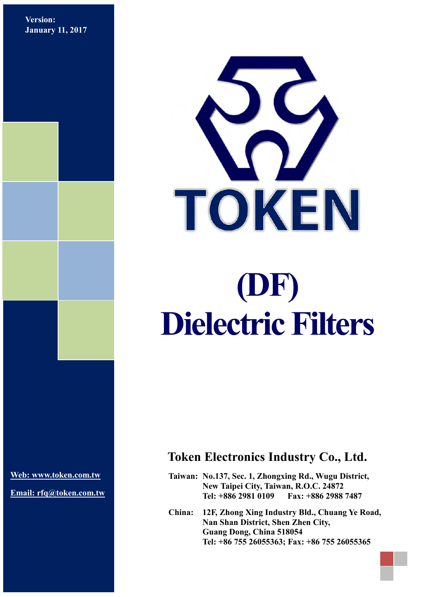**Version: January 11, 2017**



**[Web: www.token.com.tw](http://www.token.com.tw/)**

**Email: rfq@token.com.tw**

#### **Token Electronics Industry Co., Ltd.**

**Taiwan: No.137, Sec. 1, Zhongxing Rd., Wugu District, New Taipei City, Taiwan, R.O.C. 24872 Tel: +886 2981 0109 Fax: +886 2988 7487**

**China: 12F, Zhong Xing Industry Bld., Chuang Ye Road, Nan Shan District, Shen Zhen City, Guang Dong, China 518054 Tel: +86 755 26055363; Fax: +86 755 26055365**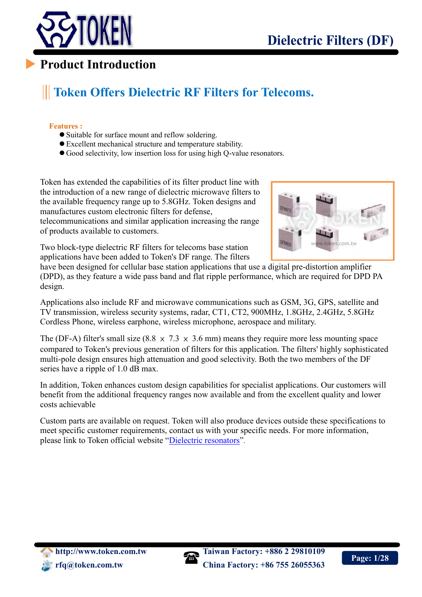

# **Token Offers Dielectric RF Filters for Telecoms.**

#### **Features :**

 $\overline{a}$ 

- Suitable for surface mount and reflow soldering.
- Excellent mechanical structure and temperature stability.
- Good selectivity, low insertion loss for using high Q-value resonators.

Token has extended the capabilities of its filter product line with the introduction of a new range of dielectric microwave filters to the available frequency range up to 5.8GHz. Token designs and manufactures custom electronic filters for defense, telecommunications and similar application increasing the range of products available to customers.



Two block-type dielectric RF filters for telecoms base station applications have been added to Token's DF range. The filters

have been designed for cellular base station applications that use a digital pre-distortion amplifier (DPD), as they feature a wide pass band and flat ripple performance, which are required for DPD PA design.

Applications also include RF and microwave communications such as GSM, 3G, GPS, satellite and TV transmission, wireless security systems, radar, CT1, CT2, 900MHz, 1.8GHz, 2.4GHz, 5.8GHz Cordless Phone, wireless earphone, wireless microphone, aerospace and military.

The (DF-A) filter's small size (8.8  $\times$  7.3  $\times$  3.6 mm) means they require more less mounting space compared to Token's previous generation of filters for this application. The filters' highly sophisticated multi-pole design ensures high attenuation and good selectivity. Both the two members of the DF series have a ripple of 1.0 dB max.

In addition, Token enhances custom design capabilities for specialist applications. Our customers will benefit from the additional frequency ranges now available and from the excellent quality and lower costs achievable

Custom parts are available on request. Token will also produce devices outside these specifications to meet specific customer requirements, contact us with your specific needs. For more information, please link to Token official website "[Dielectric resonators](http://www.token.com.tw/dielectric/index.html)".

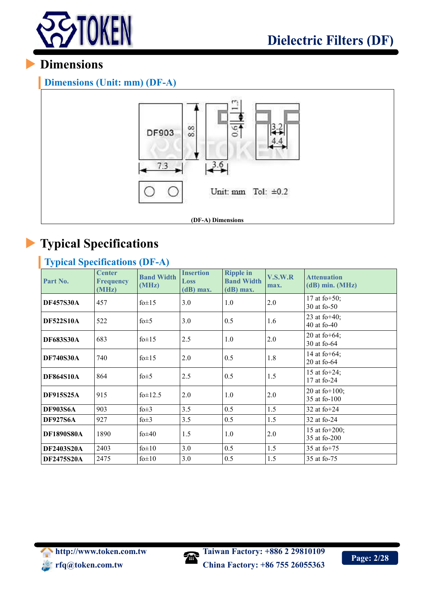

**Dimensions (Unit: mm) (DF-A)**



# **Typical Specifications**

### **Typical Specifications (DF-A)**

| Part No.          | <b>Center</b><br><b>Frequency</b><br>(MHz) | <b>Band Width</b><br>(MHz) | <b>Insertion</b><br>Loss<br>$(d)$ max. | <b>Ripple in</b><br><b>Band Width</b><br>$(dB)$ max. | V.S.W.R<br>max. | <b>Attenuation</b><br>$(dB)$ min. $(MHz)$ |
|-------------------|--------------------------------------------|----------------------------|----------------------------------------|------------------------------------------------------|-----------------|-------------------------------------------|
| <b>DF457S30A</b>  | 457                                        | $f0\pm 15$                 | 3.0                                    | 1.0                                                  | 2.0             | 17 at fo $+50$ ;<br>30 at fo-50           |
| <b>DF522S10A</b>  | 522                                        | fo $\pm$ 5                 | 3.0                                    | 0.5                                                  | 1.6             | 23 at fo $+40$ ;<br>40 at fo-40           |
| <b>DF683S30A</b>  | 683                                        | $f0\pm 15$                 | 2.5                                    | 1.0                                                  | 2.0             | 20 at fo+ $64$ ;<br>30 at fo-64           |
| <b>DF740S30A</b>  | 740                                        | fo $\pm$ 15                | 2.0                                    | 0.5                                                  | 1.8             | 14 at fo+ $64$ ;<br>$20$ at fo- $64$      |
| <b>DF864S10A</b>  | 864                                        | fo $\pm$ 5                 | 2.5                                    | 0.5                                                  | 1.5             | 15 at fo $+24$ ;<br>17 at fo-24           |
| <b>DF915S25A</b>  | 915                                        | fo $\pm$ 12.5              | 2.0                                    | 1.0                                                  | 2.0             | 20 at fo $+100$ ;<br>35 at fo-100         |
| <b>DF903S6A</b>   | 903                                        | fo $\pm 3$                 | 3.5                                    | 0.5                                                  | 1.5             | 32 at $fo+24$                             |
| <b>DF927S6A</b>   | 927                                        | fo $\pm 3$                 | 3.5                                    | 0.5                                                  | 1.5             | 32 at fo-24                               |
| <b>DF1890S80A</b> | 1890                                       | fo $\pm 40$                | 1.5                                    | 1.0                                                  | 2.0             | 15 at fo $+200$ ;<br>35 at fo-200         |
| <b>DF2403S20A</b> | 2403                                       | $f0\pm 10$                 | 3.0                                    | 0.5                                                  | 1.5             | 35 at fo $+75$                            |
| DF2475S20A        | 2475                                       | fo $\pm 10$                | 3.0                                    | 0.5                                                  | 1.5             | 35 at fo-75                               |

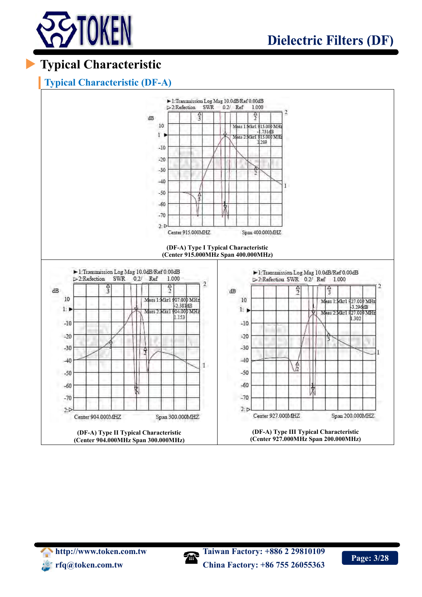

# **Typical Characteristic**

#### **Typical Characteristic (DF-A)**



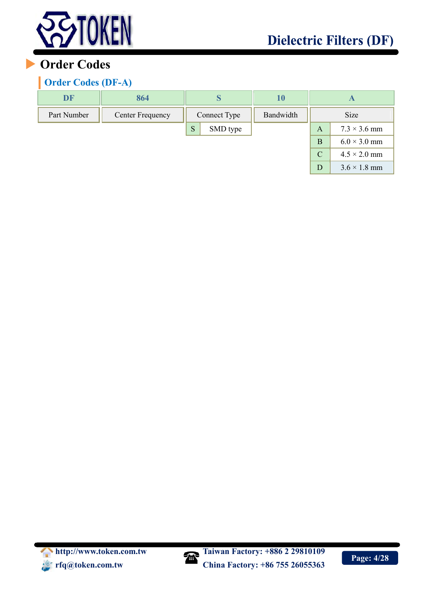

 $D$  3.6  $\times$  1.8 mm

## **Order Codes**

#### **Order Codes (DF-A)**

| DF          | 864              |              |          | 10        |                    |                     |
|-------------|------------------|--------------|----------|-----------|--------------------|---------------------|
| Part Number | Center Frequency | Connect Type |          | Bandwidth | <b>Size</b>        |                     |
|             |                  | S            | SMD type |           | A                  | $7.3 \times 3.6$ mm |
|             |                  |              |          |           | В                  | $6.0 \times 3.0$ mm |
|             |                  |              |          |           | $\overline{\rm C}$ | $4.5 \times 2.0$ mm |

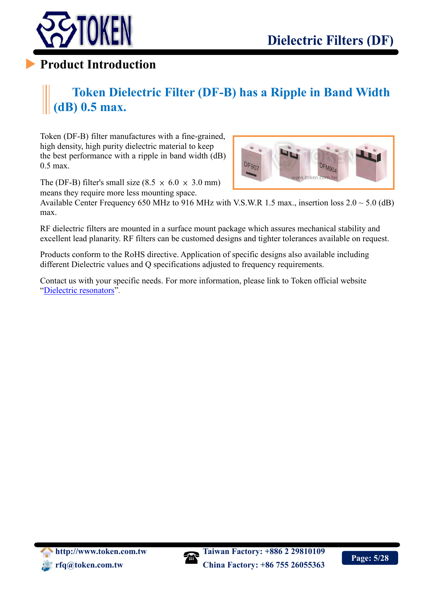

# **Token Dielectric Filter (DF-B) has a Ripple in Band Width (dB) 0.5 max.**

Token (DF-B) filter manufactures with a fine-grained, high density, high purity dielectric material to keep the best performance with a ripple in band width (dB) 0.5 max.

The (DF-B) filter's small size  $(8.5 \times 6.0 \times 3.0 \text{ mm})$ means they require more less mounting space.



Available Center Frequency 650 MHz to 916 MHz with V.S.W.R 1.5 max., insertion loss  $2.0 \sim 5.0$  (dB) max.

RF dielectric filters are mounted in a surface mount package which assures mechanical stability and excellent lead planarity. RF filters can be customed designs and tighter tolerances available on request.

Products conform to the RoHS directive. Application of specific designs also available including different Dielectric values and Q specifications adjusted to frequency requirements.

Contact us with your specific needs. For more information, please link to Token official website "[Dielectric resonators](http://www.token.com.tw/dielectric/index.html)".

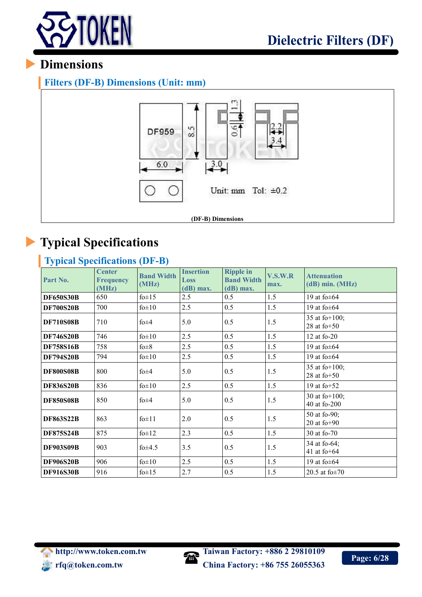

**Filters (DF-B) Dimensions (Unit: mm)**



# **Typical Specifications**

#### **Typical Specifications (DF-B)**

| Part No.         | <b>Center</b><br><b>Frequency</b><br>(MHz) | <b>Band Width</b><br>(MHz) | <b>Insertion</b><br>Loss<br>$(dB)$ max. | <b>Ripple in</b><br><b>Band Width</b><br>$(dB)$ max. | V.S.W.R<br>max. | <b>Attenuation</b><br>$(dB)$ min. $(MHz)$ |
|------------------|--------------------------------------------|----------------------------|-----------------------------------------|------------------------------------------------------|-----------------|-------------------------------------------|
| <b>DF650S30B</b> | 650                                        | fo $\pm$ 15                | 2.5                                     | 0.5                                                  | 1.5             | 19 at fo $\pm$ 64                         |
| <b>DF700S20B</b> | 700                                        | $f0\pm 10$                 | 2.5                                     | 0.5                                                  | 1.5             | 19 at fo $\pm$ 64                         |
| <b>DF710S08B</b> | 710                                        | fo $\pm 4$                 | 5.0                                     | 0.5                                                  | 1.5             | 35 at fo $+100$ ;<br>28 at $fo+50$        |
| <b>DF746S20B</b> | 746                                        | $f0\pm 10$                 | 2.5                                     | 0.5                                                  | 1.5             | $12$ at fo-20                             |
| <b>DF758S16B</b> | 758                                        | $f_0 \pm 8$                | 2.5                                     | 0.5                                                  | 1.5             | 19 at fo $\pm$ 64                         |
| <b>DF794S20B</b> | 794                                        | $f0 \pm 10$                | 2.5                                     | 0.5                                                  | 1.5             | 19 at fo $\pm$ 64                         |
| <b>DF800S08B</b> | 800                                        | $f_0 \pm 4$                | 5.0                                     | 0.5                                                  | 1.5             | 35 at fo $+100$ ;<br>28 at $fo+50$        |
| <b>DF836S20B</b> | 836                                        | $f0\pm 10$                 | 2.5                                     | 0.5                                                  | 1.5             | 19 at fo $+52$                            |
| <b>DF850S08B</b> | 850                                        | $f_0 \pm 4$                | 5.0                                     | 0.5                                                  | 1.5             | 30 at fo $+100$ ;<br>40 at fo-200         |
| <b>DF863S22B</b> | 863                                        | $f$ <sub>0</sub> $\pm$ 11  | 2.0                                     | 0.5                                                  | 1.5             | 50 at fo-90;<br>$20$ at fo+90             |
| <b>DF875S24B</b> | 875                                        | $f0\pm 12$                 | 2.3                                     | 0.5                                                  | 1.5             | 30 at fo-70                               |
| <b>DF903S09B</b> | 903                                        | $f0\pm4.5$                 | 3.5                                     | 0.5                                                  | 1.5             | 34 at fo-64;<br>41 at fo $+64$            |
| <b>DF906S20B</b> | 906                                        | $f0 \pm 10$                | 2.5                                     | 0.5                                                  | 1.5             | 19 at fo $\pm$ 64                         |
| <b>DF916S30B</b> | 916                                        | $f0\pm 15$                 | 2.7                                     | 0.5                                                  | 1.5             | 20.5 at $f_0 \pm 70$                      |

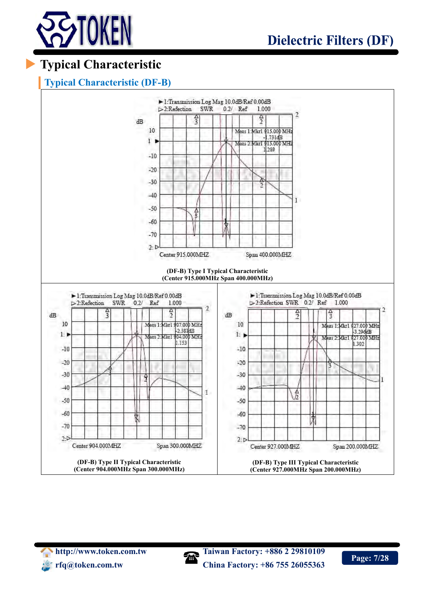

# **Typical Characteristic**

#### **Typical Characteristic (DF-B)**



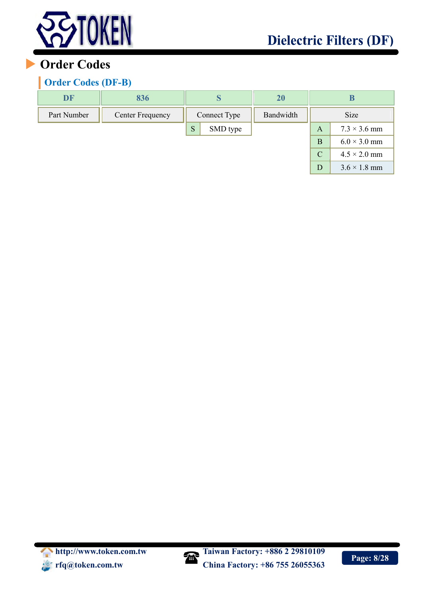

 $D$  3.6  $\times$  1.8 mm

## **Order Codes**

#### **Order Codes (DF-B)**

| DF          | 836                     |              |          | <b>20</b> |               | B                   |
|-------------|-------------------------|--------------|----------|-----------|---------------|---------------------|
| Part Number | <b>Center Frequency</b> | Connect Type |          | Bandwidth | Size          |                     |
|             |                         | S            | SMD type |           | A             | $7.3 \times 3.6$ mm |
|             |                         |              |          |           | B             | $6.0 \times 3.0$ mm |
|             |                         |              |          |           | $\mathcal{C}$ | $4.5 \times 2.0$ mm |

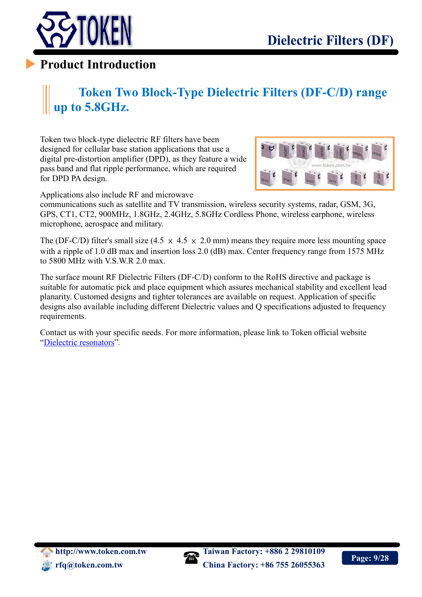

# **Token Two Block-Type Dielectric Filters (DF-C/D) range up to 5.8GHz.**

Token two block-type dielectric RF filters have been designed for cellular base station applications that use a digital pre-distortion amplifier (DPD), as they feature a wide pass band and flat ripple performance, which are required for DPD PA design.



Applications also include RF and microwave

communications such as satellite and TV transmission, wireless security systems, radar, GSM, 3G, GPS, CT1, CT2, 900MHz, 1.8GHz, 2.4GHz, 5.8GHz Cordless Phone, wireless earphone, wireless microphone, aerospace and military.

The (DF-C/D) filter's small size (4.5  $\times$  4.5  $\times$  2.0 mm) means they require more less mounting space with a ripple of 1.0 dB max and insertion loss 2.0 (dB) max. Center frequency range from 1575 MHz to 5800 MHz with V.S.W.R 2.0 max.

The surface mount RF Dielectric Filters (DF-C/D) conform to the RoHS directive and package is suitable for automatic pick and place equipment which assures mechanical stability and excellent lead planarity. Customed designs and tighter tolerances are available on request. Application of specific designs also available including different Dielectric values and Q specifications adjusted to frequency requirements.

Contact us with your specific needs. For more information, please link to Token official website "[Dielectric resonators](http://www.token.com.tw/dielectric/index.html)".

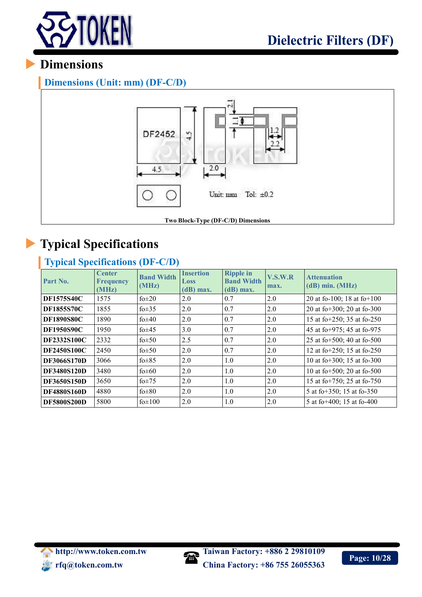

#### **Dimensions (Unit: mm) (DF-C/D)**



# **Typical Specifications**

### **Typical Specifications (DF-C/D)**

| Part No.           | <b>Center</b><br><b>Frequency</b><br>(MHz) | <b>Band Width</b><br>(MHz) | <b>Insertion</b><br>Loss<br>$(dB)$ max. | <b>Ripple in</b><br><b>Band Width</b><br>$(dB)$ max. | V.S.W.R<br>max. | <b>Attenuation</b><br>$(dB)$ min. $(MHz)$ |
|--------------------|--------------------------------------------|----------------------------|-----------------------------------------|------------------------------------------------------|-----------------|-------------------------------------------|
| <b>DF1575S40C</b>  | 1575                                       | fo $\pm 20$                | 2.0                                     | 0.7                                                  | 2.0             | 20 at fo-100; 18 at fo+100                |
| <b>DF1855S70C</b>  | 1855                                       | fo $\pm$ 35                | 2.0                                     | 0.7                                                  | 2.0             | 20 at fo+300; 20 at fo-300                |
| <b>DF1890S80C</b>  | 1890                                       | fo $\pm 40$                | 2.0                                     | 0.7                                                  | 2.0             | 15 at fo+250; 35 at fo-250                |
| <b>DF1950S90C</b>  | 1950                                       | fo $\pm$ 45                | 3.0                                     | 0.7                                                  | 2.0             | 45 at fo+975; 45 at fo-975                |
| <b>DF2332S100C</b> | 2332                                       | fo $\pm$ 50                | 2.5                                     | 0.7                                                  | 2.0             | 25 at fo+500; 40 at fo-500                |
| <b>DF2450S100C</b> | 2450                                       | fo $\pm$ 50                | 2.0                                     | 0.7                                                  | 2.0             | 12 at fo+250; 15 at fo-250                |
| <b>DF3066S170D</b> | 3066                                       | fo $\pm$ 85                | 2.0                                     | 1.0                                                  | 2.0             | 10 at fo+300; 15 at fo-300                |
| <b>DF3480S120D</b> | 3480                                       | fo $\pm 60$                | 2.0                                     | 1.0                                                  | 2.0             | 10 at fo+500; 20 at fo-500                |
| <b>DF3650S150D</b> | 3650                                       | fo $\pm$ 75                | 2.0                                     | 1.0                                                  | 2.0             | 15 at fo+750; 25 at fo-750                |
| <b>DF4880S160D</b> | 4880                                       | $f0\pm 80$                 | 2.0                                     | 1.0                                                  | 2.0             | 5 at fo+350; 15 at fo-350                 |
| <b>DF5800S200D</b> | 5800                                       | $fo \pm 100$               | 2.0                                     | 1.0                                                  | 2.0             | 5 at fo $+400$ ; 15 at fo $-400$          |

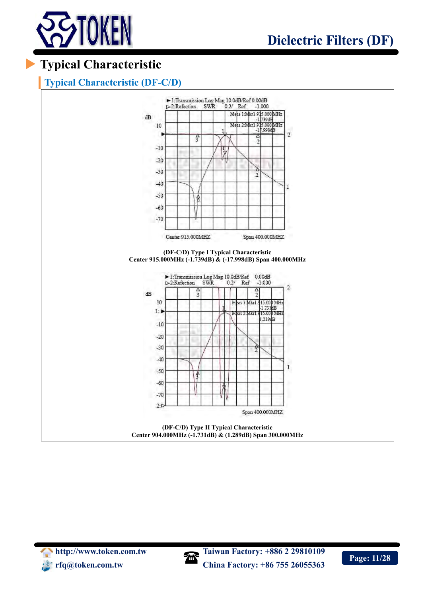

# **Typical Characteristic**

#### **Typical Characteristic (DF-C/D)**



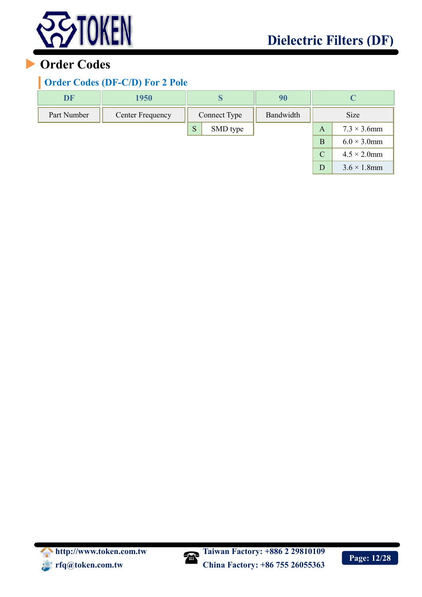

## **Order Codes**

#### **Order Codes (DF-C/D) For 2 Pole**

| <b>DF</b>   | 1950             | S                         | 90 |               |                     |
|-------------|------------------|---------------------------|----|---------------|---------------------|
| Part Number | Center Frequency | Bandwidth<br>Connect Type |    |               | <b>Size</b>         |
|             |                  | S<br>SMD type             |    | A             | $7.3 \times 3.6$ mm |
|             |                  |                           |    | B             | $6.0 \times 3.0$ mm |
|             |                  |                           |    | $\mathcal{C}$ | $4.5 \times 2.0$ mm |
|             |                  |                           |    | D             | $3.6 \times 1.8$ mm |



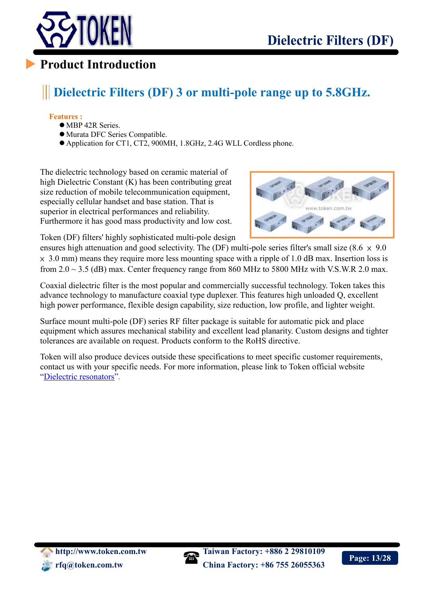

## **Dielectric Filters (DF) 3 or multi-pole range up to 5.8GHz.**

#### **Features :**

 $\overline{a}$ 

- MBP 42R Series.
- Murata DFC Series Compatible.
- Application for CT1, CT2, 900MH, 1.8GHz, 2.4G WLL Cordless phone.

The dielectric technology based on ceramic material of high Dielectric Constant (K) has been contributing great size reduction of mobile telecommunication equipment, especially cellular handset and base station. That is superior in electrical performances and reliability. Furthermore it has good mass productivity and low cost.



Token (DF) filters' highly sophisticated multi-pole design

ensures high attenuation and good selectivity. The (DF) multi-pole series filter's small size (8.6  $\times$  9.0  $\times$  3.0 mm) means they require more less mounting space with a ripple of 1.0 dB max. Insertion loss is from  $2.0 \sim 3.5$  (dB) max. Center frequency range from 860 MHz to 5800 MHz with V.S.W.R 2.0 max.

Coaxial dielectric filter is the most popular and commercially successful technology. Token takes this advance technology to manufacture coaxial type duplexer. This features high unloaded Q, excellent high power performance, flexible design capability, size reduction, low profile, and lighter weight.

Surface mount multi-pole (DF) series RF filter package is suitable for automatic pick and place equipment which assures mechanical stability and excellent lead planarity. Custom designs and tighter tolerances are available on request. Products conform to the RoHS directive.

Token will also produce devices outside these specifications to meet specific customer requirements, contact us with your specific needs. For more information, please link to Token official website "[Dielectric resonators](http://www.token.com.tw/dielectric/index.html)".



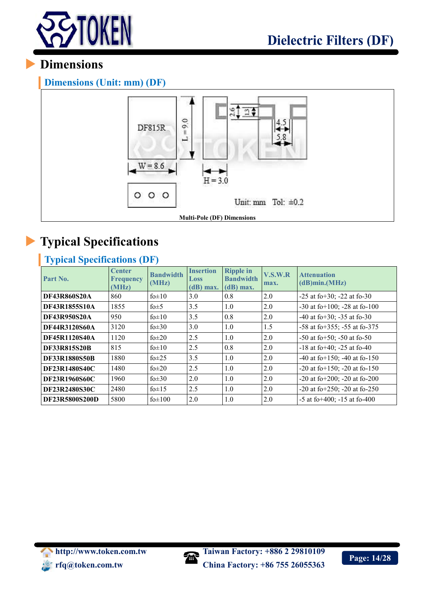

**Dimensions (Unit: mm) (DF)**



# **Typical Specifications**

#### **Typical Specifications (DF)**

| Part No.              | <b>Center</b><br><b>Frequency</b><br>(MHz) | <b>Bandwidth</b><br>(MHz) | <b>Insertion</b><br>Loss<br>$(d)$ max. | <b>Ripple in</b><br><b>Bandwidth</b><br>$(d)$ max. | V.S.W.R<br>max. | <b>Attenuation</b><br>(d)min(MHz)       |
|-----------------------|--------------------------------------------|---------------------------|----------------------------------------|----------------------------------------------------|-----------------|-----------------------------------------|
| <b>DF43R860S20A</b>   | 860                                        | fo $\pm 10$               | 3.0                                    | 0.8                                                | 2.0             | $-25$ at fo $+30$ ; $-22$ at fo $-30$   |
| DF43R1855S10A         | 1855                                       | fo $\pm$ 5                | 3.5                                    | 1.0                                                | 2.0             | $-30$ at fo $+100$ ; $-28$ at fo $-100$ |
| <b>DF43R950S20A</b>   | 950                                        | fo $\pm 10$               | 3.5                                    | 0.8                                                | 2.0             | $-40$ at fo $+30$ ; $-35$ at fo $-30$   |
| DF44R3120S60A         | 3120                                       | fo $\pm 30$               | 3.0                                    | 1.0                                                | 1.5             | $-58$ at fo $+355$ ; $-55$ at fo $-375$ |
| DF45R1120S40A         | 1120                                       | fo $\pm 20$               | 2.5                                    | 1.0                                                | 2.0             | $-50$ at fo $+50$ ; $-50$ at fo $-50$   |
| <b>DF33R815S20B</b>   | 815                                        | fo $\pm 10$               | 2.5                                    | 0.8                                                | 2.0             | $-18$ at fo $+40$ ; $-25$ at fo $-40$   |
| <b>DF33R1880S50B</b>  | 1880                                       | fo $\pm 25$               | 3.5                                    | 1.0                                                | 2.0             | $-40$ at fo $+150$ ; $-40$ at fo $-150$ |
| <b>DF23R1480S40C</b>  | 1480                                       | fo $\pm 20$               | 2.5                                    | 1.0                                                | 2.0             | $-20$ at fo $+150$ ; $-20$ at fo $-150$ |
| <b>DF23R1960S60C</b>  | 1960                                       | fo $\pm 30$               | 2.0                                    | 1.0                                                | 2.0             | -20 at fo+200; -20 at fo-200            |
| <b>DF23R2480S30C</b>  | 2480                                       | fo $\pm$ 15               | 2.5                                    | 1.0                                                | 2.0             | $-20$ at fo $+250$ ; $-20$ at fo $-250$ |
| <b>DF23R5800S200D</b> | 5800                                       | $fo \pm 100$              | 2.0                                    | 1.0                                                | 2.0             | $-5$ at fo $+400$ ; $-15$ at fo $-400$  |

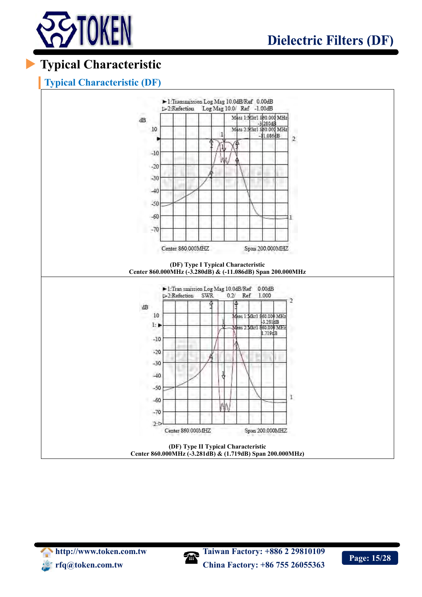

# **Typical Characteristic**

#### **Typical Characteristic (DF)**



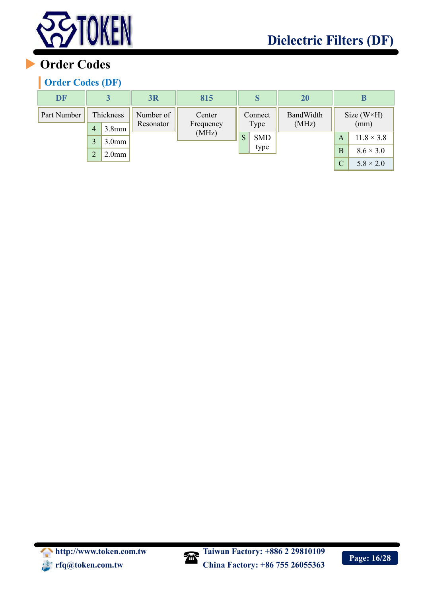

# **Order Codes**

#### **Order Codes (DF)**

| <b>DF</b>   |                |                    | <b>3R</b>              | 815                 |                 | S                  | 20                 |                             | В                                    |
|-------------|----------------|--------------------|------------------------|---------------------|-----------------|--------------------|--------------------|-----------------------------|--------------------------------------|
| Part Number | $\overline{4}$ | Thickness<br>3.8mm | Number of<br>Resonator | Center<br>Frequency | Connect<br>Type |                    | BandWidth<br>(MHz) | Size $(W \times H)$<br>(mm) |                                      |
|             | 3              | 3.0 <sub>mm</sub>  |                        | (MHz)               | S               | <b>SMD</b><br>type |                    | A                           | $11.8 \times 3.8$                    |
|             | $\overline{2}$ | 2.0 <sub>mm</sub>  |                        |                     |                 |                    |                    | B<br>$\mathcal{C}$          | $8.6 \times 3.0$<br>$5.8 \times 2.0$ |



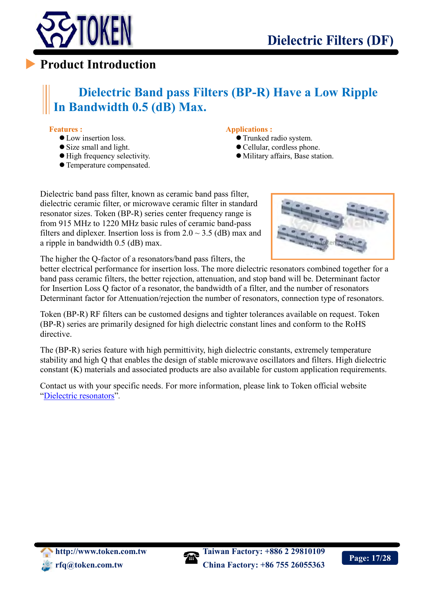

## **Dielectric Band pass Filters (BP-R) Have a Low Ripple In Bandwidth 0.5 (dB) Max.**

#### **Features :**

 $\overline{a}$ 

- Low insertion loss.
- Size small and light.
- $\bullet$  High frequency selectivity.
- Temperature compensated.

#### **Applications :**

- Trunked radio system.
- Cellular, cordless phone.
- Military affairs, Base station.

Dielectric band pass filter, known as ceramic band pass filter, dielectric ceramic filter, or microwave ceramic filter in standard resonator sizes. Token (BP-R) series center frequency range is from 915 MHz to 1220 MHz basic rules of ceramic band-pass filters and diplexer. Insertion loss is from  $2.0 \sim 3.5$  (dB) max and a ripple in bandwidth 0.5 (dB) max.



The higher the Q-factor of a resonators/band pass filters, the

better electrical performance for insertion loss. The more dielectric resonators combined together for a band pass ceramic filters, the better rejection, attenuation, and stop band will be. Determinant factor for Insertion Loss Q factor of a resonator, the bandwidth of a filter, and the number of resonators Determinant factor for Attenuation/rejection the number of resonators, connection type of resonators.

Token (BP-R) RF filters can be customed designs and tighter tolerances available on request. Token (BP-R) series are primarily designed for high dielectric constant lines and conform to the RoHS directive.

The (BP-R) series feature with high permittivity, high dielectric constants, extremely temperature stability and high Q that enables the design of stable microwave oscillators and filters. High dielectric constant (K) materials and associated products are also available for custom application requirements.

Contact us with your specific needs. For more information, please link to Token official website "[Dielectric resonators](http://www.token.com.tw/dielectric/index.html)".



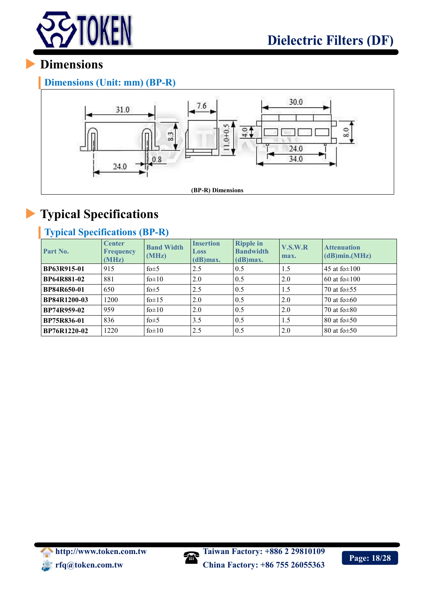

**Dimensions (Unit: mm) (BP-R)**



# **Typical Specifications**

### **Typical Specifications (BP-R)**

| Part No.            | <b>Center</b><br><b>Frequency</b><br>(MHz) | <b>Band Width</b><br>(MHz) | <b>Insertion</b><br><b>Loss</b><br>$(d)$ max. | <b>Ripple in</b><br><b>Bandwidth</b><br>$(d)$ max. | V.S.W.R<br>max. | <b>Attenuation</b><br>$(dB)$ min. $(MHz)$ |
|---------------------|--------------------------------------------|----------------------------|-----------------------------------------------|----------------------------------------------------|-----------------|-------------------------------------------|
| BP63R915-01         | 915                                        | fo $\pm$ 5                 | 2.5                                           | 0.5                                                | 1.5             | 45 at fo $\pm 100$                        |
| <b>BP64R881-02</b>  | 881                                        | fo $\pm 10$                | 2.0                                           | 0.5                                                | 2.0             | 60 at fo $\pm 100$                        |
| <b>BP84R650-01</b>  | 650                                        | fo $\pm$ 5                 | 2.5                                           | 0.5                                                | 1.5             | 70 at fo $\pm$ 55                         |
| <b>BP84R1200-03</b> | 1200                                       | fo $\pm$ 15                | 2.0                                           | 0.5                                                | 2.0             | 70 at fo $\pm 60$                         |
| BP74R959-02         | 959                                        | $f0\pm 10$                 | 2.0                                           | 0.5                                                | 2.0             | 70 at fo $\pm 80$                         |
| BP75R836-01         | 836                                        | fo $\pm$ 5                 | 3.5                                           | 0.5                                                | 1.5             | 80 at fo $\pm$ 50                         |
| BP76R1220-02        | 1220                                       | $f0\pm 10$                 | 2.5                                           | 0.5                                                | 2.0             | 80 at fo $\pm$ 50                         |



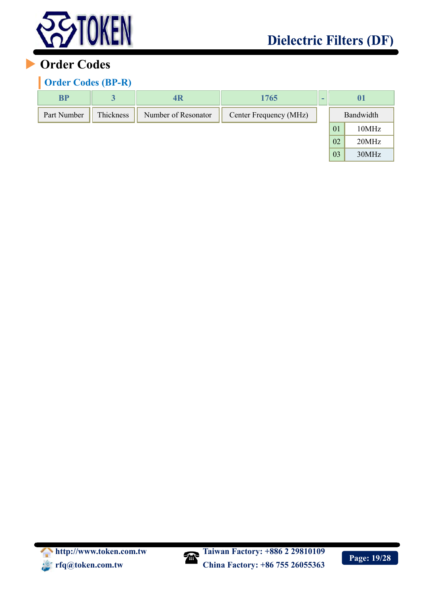

## **Order Codes**

#### **Order Codes (BP-R)**

| <b>BP</b>   |           | 4R                  | 1765                   | $\overline{\phantom{0}}$ | 01        |       |  |
|-------------|-----------|---------------------|------------------------|--------------------------|-----------|-------|--|
| Part Number | Thickness | Number of Resonator | Center Frequency (MHz) |                          | Bandwidth |       |  |
|             |           |                     |                        |                          | 01        | 10MHz |  |
|             |           |                     |                        |                          | 02        | 20MHz |  |
|             |           |                     |                        |                          | 03        | 30MHz |  |



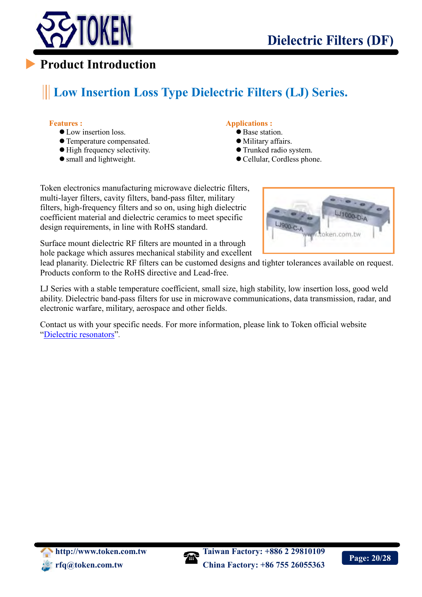

# **Low Insertion Loss Type Dielectric Filters (LJ) Series.**

#### **Features :**

- Low insertion loss
- Temperature compensated.
- $\bullet$  High frequency selectivity.
- small and lightweight.

#### **Applications :**

- Base station.
- Military affairs.
- Trunked radio system.
- Cellular, Cordless phone.

Token electronics manufacturing microwave dielectric filters, multi-layer filters, cavity filters, band-pass filter, military filters, high-frequency filters and so on, using high dielectric coefficient material and dielectric ceramics to meet specific design requirements, in line with RoHS standard.



Surface mount dielectric RF filters are mounted in a through hole package which assures mechanical stability and excellent

lead planarity. Dielectric RF filters can be customed designs and tighter tolerances available on request. Products conform to the RoHS directive and Lead-free.

LJ Series with a stable temperature coefficient, small size, high stability, low insertion loss, good weld ability. Dielectric band-pass filters for use in microwave communications, data transmission, radar, and electronic warfare, military, aerospace and other fields.

Contact us with your specific needs. For more information, please link to Token official website "[Dielectric resonators](http://www.token.com.tw/dielectric/index.html)".

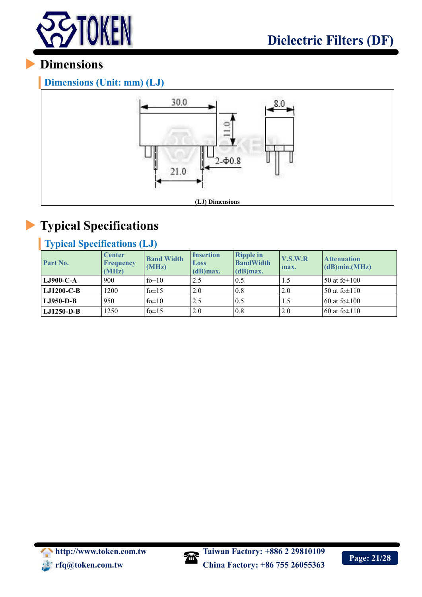

**Dimensions (Unit: mm) (LJ)**



# **Typical Specifications**

### **Typical Specifications (LJ)**

| Part No.          | <b>Center</b><br>Frequency<br>(MHz) | <b>Band Width</b><br>(MHz) | <b>Insertion</b><br>Loss<br>$(d)$ max. | <b>Ripple in</b><br><b>BandWidth</b><br>$(d)$ max. | V.S.W.R<br>max. | <b>Attenuation</b><br>(dB)min.(MHz) |
|-------------------|-------------------------------------|----------------------------|----------------------------------------|----------------------------------------------------|-----------------|-------------------------------------|
| $LJ900-C-A$       | 900                                 | fo $\pm 10$                | 2.5                                    | 0.5                                                | 1.5             | 50 at fo $\pm$ 100                  |
| <b>LJ1200-C-B</b> | 1200                                | fo $\pm$ 15                | 2.0                                    | 0.8                                                | 2.0             | 50 at fo $\pm$ 110                  |
| $LJ950-D-B$       | 950                                 | fo $\pm 10$                | 2.5                                    | 0.5                                                | 1.5             | 60 at fo $\pm 100$                  |
| LJ1250-D-B        | 1250                                | fo $\pm$ 15                | 2.0                                    | 0.8                                                | 2.0             | 60 at fo $\pm$ 110                  |



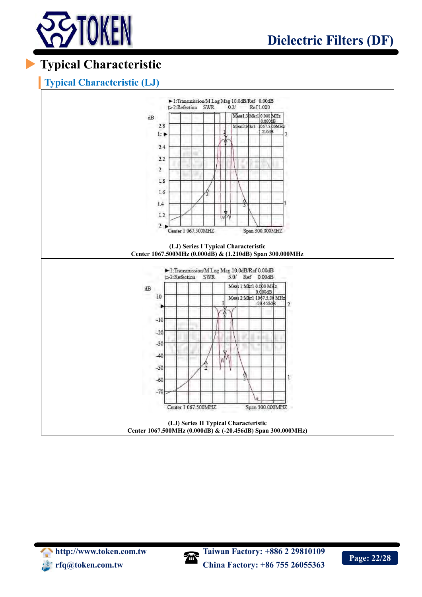

# **Typical Characteristic**

#### **Typical Characteristic (LJ)**



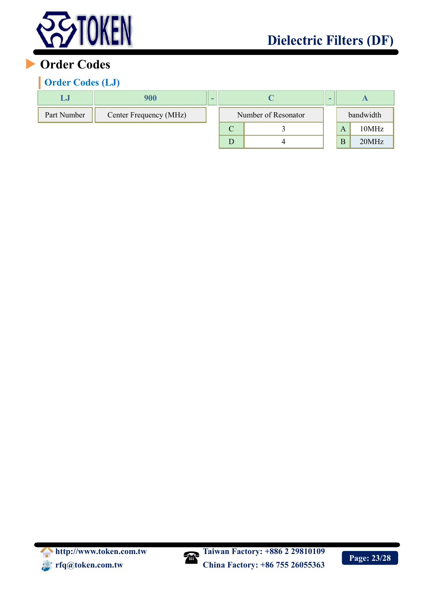

## **Order Codes**

#### **Order Codes (LJ)**

| LJJ         | 900                    | - |                     |  | - |   |           |
|-------------|------------------------|---|---------------------|--|---|---|-----------|
| Part Number | Center Frequency (MHz) |   | Number of Resonator |  |   |   | bandwidth |
|             |                        |   | ◡                   |  |   | A | 10MHz     |
|             |                        |   |                     |  |   | B | 20MHz     |



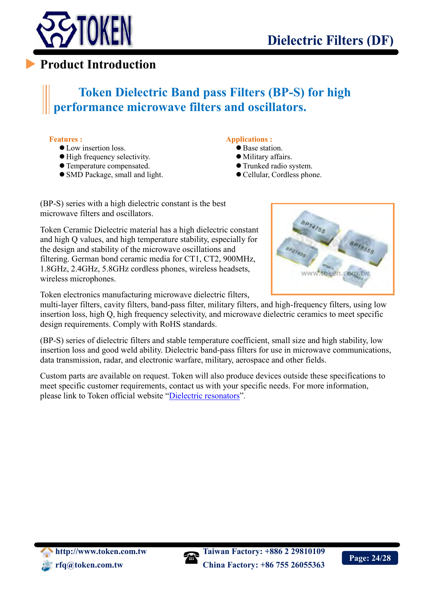

# **Token Dielectric Band pass Filters (BP-S) for high performance microwave filters and oscillators.**

#### **Features :**

 $\overline{a}$ 

- **C**Low insertion loss
- $\bullet$  High frequency selectivity.
- Temperature compensated.
- SMD Package, small and light.

#### **Applications :**

- Base station.
- Military affairs.
- Trunked radio system.
- Cellular, Cordless phone.

(BP-S) series with a high dielectric constant is the best microwave filters and oscillators.

Token Ceramic Dielectric material has a high dielectric constant and high Q values, and high temperature stability, especially for the design and stability of the microwave oscillations and filtering. German bond ceramic media for CT1, CT2, 900MHz, 1.8GHz, 2.4GHz, 5.8GHz cordless phones, wireless headsets, wireless microphones.

Token electronics manufacturing microwave dielectric filters,

multi-layer filters, cavity filters, band-pass filter, military filters, and high-frequency filters, using low insertion loss, high Q, high frequency selectivity, and microwave dielectric ceramics to meet specific design requirements. Comply with RoHS standards.

(BP-S) series of dielectric filters and stable temperature coefficient, small size and high stability, low insertion loss and good weld ability. Dielectric band-pass filters for use in microwave communications, data transmission, radar, and electronic warfare, military, aerospace and other fields.

Custom parts are available on request. Token will also produce devices outside these specifications to meet specific customer requirements, contact us with your specific needs. For more information, please link to Token official website "[Dielectric resonators](http://www.token.com.tw/dielectric/index.html)".



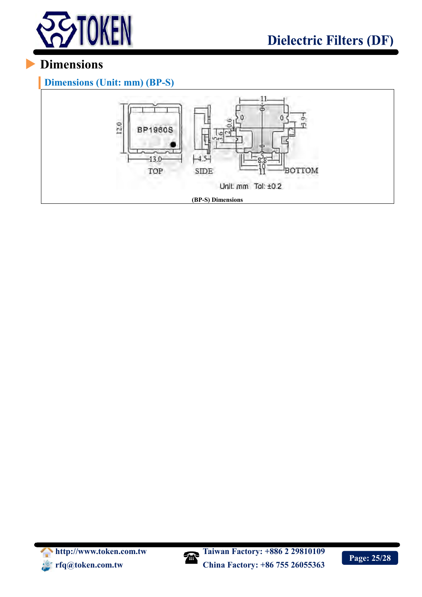

**Dimensions (Unit: mm) (BP-S)**





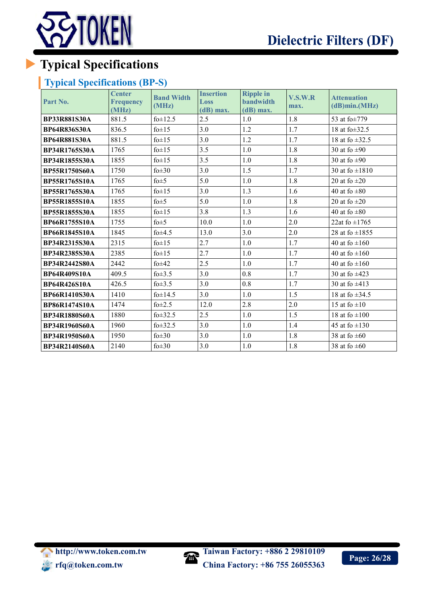

# **Typical Specifications**

#### **Typical Specifications (BP-S)**

| Part No.             | <b>Center</b><br><b>Frequency</b><br>(MHz) | <b>Band Width</b><br>(MHz) | <b>Insertion</b><br>Loss<br>$(dB)$ max. | <b>Ripple in</b><br><b>bandwidth</b><br>$(dB)$ max. | V.S.W.R<br>max. | <b>Attenuation</b><br>(dB)min.(MHz) |
|----------------------|--------------------------------------------|----------------------------|-----------------------------------------|-----------------------------------------------------|-----------------|-------------------------------------|
| <b>BP33R881S30A</b>  | 881.5                                      | $f0 \pm 12.5$              | 2.5                                     | 1.0                                                 | 1.8             | 53 at fo±779                        |
| <b>BP64R836S30A</b>  | 836.5                                      | fo $\pm$ 15                | 3.0                                     | 1.2                                                 | 1.7             | 18 at $f_0 \pm 32.5$                |
| <b>BP64R881S30A</b>  | 881.5                                      | fo $\pm$ 15                | 3.0                                     | 1.2                                                 | 1.7             | 18 at fo $\pm 32.5$                 |
| <b>BP34R1765S30A</b> | 1765                                       | fo±15                      | 3.5                                     | 1.0                                                 | 1.8             | 30 at fo $\pm 90$                   |
| <b>BP34R1855S30A</b> | 1855                                       | fo $\pm$ 15                | 3.5                                     | 1.0                                                 | 1.8             | 30 at fo $\pm 90$                   |
| <b>BP55R1750S60A</b> | 1750                                       | fo $\pm 30$                | 3.0                                     | 1.5                                                 | 1.7             | 30 at fo $\pm 1810$                 |
| <b>BP55R1765S10A</b> | 1765                                       | fo $\pm$ 5                 | 5.0                                     | 1.0                                                 | 1.8             | 20 at fo $\pm 20$                   |
| <b>BP55R1765S30A</b> | 1765                                       | fo $\pm$ 15                | 3.0                                     | 1.3                                                 | 1.6             | 40 at fo $\pm 80$                   |
| <b>BP55R1855S10A</b> | 1855                                       | fo $\pm$ 5                 | 5.0                                     | 1.0                                                 | 1.8             | 20 at fo $\pm 20$                   |
| <b>BP55R1855S30A</b> | 1855                                       | fo $\pm$ 15                | 3.8                                     | 1.3                                                 | 1.6             | 40 at fo $\pm 80$                   |
| <b>BP66R1755S10A</b> | 1755                                       | fo $\pm$ 5                 | 10.0                                    | 1.0                                                 | 2.0             | 22at fo $\pm$ 1765                  |
| <b>BP66R1845S10A</b> | 1845                                       | fo $\pm 4.5$               | 13.0                                    | 3.0                                                 | 2.0             | 28 at fo $\pm 1855$                 |
| <b>BP34R2315S30A</b> | 2315                                       | fo $\pm$ 15                | 2.7                                     | 1.0                                                 | 1.7             | 40 at fo $\pm 160$                  |
| BP34R2385S30A        | 2385                                       | fo±15                      | 2.7                                     | 1.0                                                 | 1.7             | 40 at fo $\pm 160$                  |
| <b>BP34R2442S80A</b> | 2442                                       | fo $\pm 42$                | 2.5                                     | 1.0                                                 | 1.7             | 40 at fo $\pm 160$                  |
| <b>BP64R409S10A</b>  | 409.5                                      | fo $\pm 3.5$               | 3.0                                     | 0.8                                                 | 1.7             | 30 at fo $\pm 423$                  |
| <b>BP64R426S10A</b>  | 426.5                                      | fo $\pm 3.5$               | 3.0                                     | 0.8                                                 | 1.7             | 30 at fo $\pm 413$                  |
| <b>BP66R1410S30A</b> | 1410                                       | fo±14.5                    | 3.0                                     | 1.0                                                 | 1.5             | 18 at fo $\pm 34.5$                 |
| <b>BP86R1474S10A</b> | 1474                                       | fo $\pm 2.5$               | 12.0                                    | 2.8                                                 | 2.0             | 15 at fo $\pm 10$                   |
| <b>BP34R1880S60A</b> | 1880                                       | fo $\pm$ 32.5              | 2.5                                     | 1.0                                                 | 1.5             | 18 at fo $\pm 100$                  |
| <b>BP34R1960S60A</b> | 1960                                       | $f0\pm 32.5$               | 3.0                                     | 1.0                                                 | 1.4             | 45 at fo $\pm 130$                  |
| <b>BP34R1950S60A</b> | 1950                                       | fo $\pm 30$                | 3.0                                     | 1.0                                                 | 1.8             | 38 at fo $\pm 60$                   |
| <b>BP34R2140S60A</b> | 2140                                       | fo $\pm 30$                | 3.0                                     | 1.0                                                 | 1.8             | 38 at fo $\pm 60$                   |

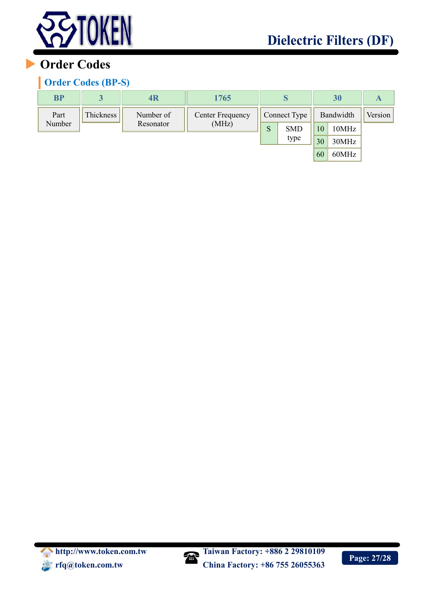

# **Order Codes**

#### **Order Codes (BP-S)**

| <b>BP</b> | 3         | 4R        | 1765             |              |            |           | 30    | A       |
|-----------|-----------|-----------|------------------|--------------|------------|-----------|-------|---------|
| Part      | Thickness | Number of | Center Frequency | Connect Type |            | Bandwidth |       | Version |
| Number    |           | Resonator | (MHz)            | S            | <b>SMD</b> | 10        | 10MHz |         |
|           |           |           |                  |              | type       | 30        | 30MHz |         |
|           |           |           |                  |              |            | 60        | 60MHz |         |